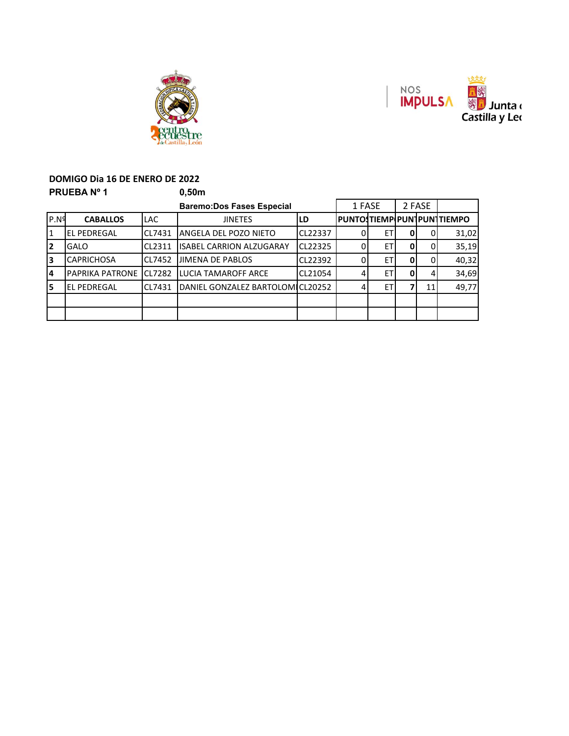



#### **DOMIGO Dia 16 DE ENERO DE 2022 PRUEBA Nº 1** 0,50m

|                  |                        |               | <u>vu.ii</u>                     |         |        |    |        |    |                             |
|------------------|------------------------|---------------|----------------------------------|---------|--------|----|--------|----|-----------------------------|
|                  |                        |               | <b>Baremo:Dos Fases Especial</b> |         | 1 FASE |    | 2 FASE |    |                             |
| P.N <sup>9</sup> | <b>CABALLOS</b>        | <b>LAC</b>    | <b>JINETES</b>                   | LD      |        |    |        |    | IPUNTOSTIEMPIPUNTPUNTTIEMPO |
| 1                | <b>EL PEDREGAL</b>     | CL7431        | ANGELA DEL POZO NIETO            | CL22337 |        | EТ |        |    | 31,02                       |
| 2                | <b>GALO</b>            | CL2311        | <b>ISABEL CARRION ALZUGARAY</b>  | CL22325 |        | ET |        |    | 35,19                       |
| Iз               | <b>CAPRICHOSA</b>      | CL7452        | <b>JIMENA DE PABLOS</b>          | CL22392 |        | ET |        |    | 40,32                       |
| 14               | <b>PAPRIKA PATRONE</b> | <b>CL7282</b> | LUCIA TAMAROFF ARCE              | CL21054 |        | ET |        |    | 34,69                       |
| 5                | <b>EL PEDREGAL</b>     | <b>CL7431</b> | DANIEL GONZALEZ BARTOLOMICL20252 |         |        | ET |        | 11 | 49,77                       |
|                  |                        |               |                                  |         |        |    |        |    |                             |
|                  |                        |               |                                  |         |        |    |        |    |                             |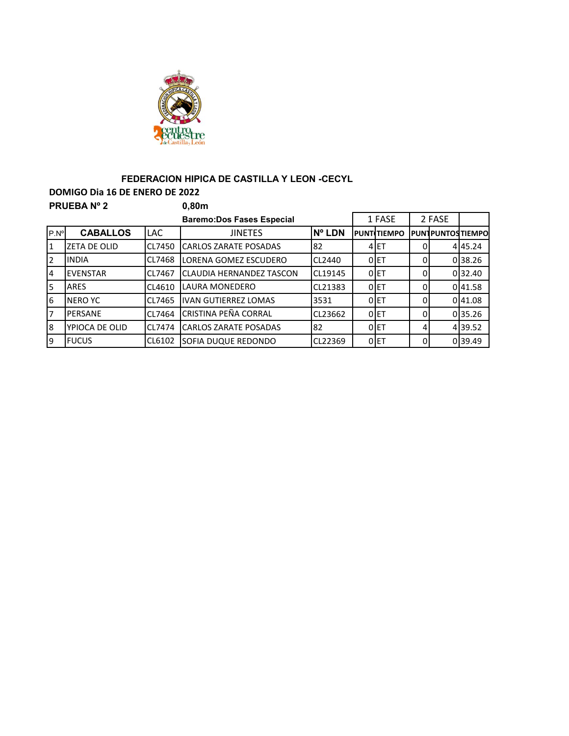

## **FEDERACION HIPICA DE CASTILLA Y LEON -CECYL**

**DOMIGO Dia 16 DE ENERO DE 2022 PRUEBA Nº 2 0,80m**

|               |                     |               | <b>Baremo:Dos Fases Especial</b> |         |   | 1 FASE             |          | 2 FASE                  |         |  |  |
|---------------|---------------------|---------------|----------------------------------|---------|---|--------------------|----------|-------------------------|---------|--|--|
| $P.N^{\circ}$ | <b>CABALLOS</b>     | <b>LAC</b>    | <b>JINETES</b>                   | Nº LDN  |   | <b>PUNTITIEMPO</b> |          | <b>PUNTPUNTOSTIEMPO</b> |         |  |  |
| 11            | <b>ZETA DE OLID</b> | CL7450        | <b>CARLOS ZARATE POSADAS</b>     | 82      | 4 | IET                | 0        |                         | 445.24  |  |  |
| 2             | <b>IINDIA</b>       | CL7468        | LORENA GOMEZ ESCUDERO            | CL2440  |   | 0 <sub>ET</sub>    | 0        |                         | 0 38.26 |  |  |
| 4             | <b>EVENSTAR</b>     | CL7467        | <b>CLAUDIA HERNANDEZ TASCON</b>  | CL19145 |   | 0E                 | 0        |                         | 032.40  |  |  |
| 5             | <b>ARES</b>         | CL4610        | LAURA MONEDERO                   | CL21383 |   | 0 <sub>ET</sub>    | 0        |                         | 041.58  |  |  |
| 6             | <b>INERO YC</b>     | CL7465        | <b>IVAN GUTIERREZ LOMAS</b>      | 3531    |   | 0E                 | 0        |                         | 0 41.08 |  |  |
| 7             | <b>IPERSANE</b>     | CL7464        | CRISTINA PEÑA CORRAL             | CL23662 |   | 0 <sub>ET</sub>    | 0        |                         | 035.26  |  |  |
| 8             | YPIOCA DE OLID      | <b>CL7474</b> | <b>CARLOS ZARATE POSADAS</b>     | 82      |   | 0 <sub>ET</sub>    | 41       |                         | 439.52  |  |  |
| 9             | <b>I</b> FUCUS      | CL6102        | SOFIA DUQUE REDONDO              | CL22369 |   | 0E                 | $\Omega$ |                         | 039.49  |  |  |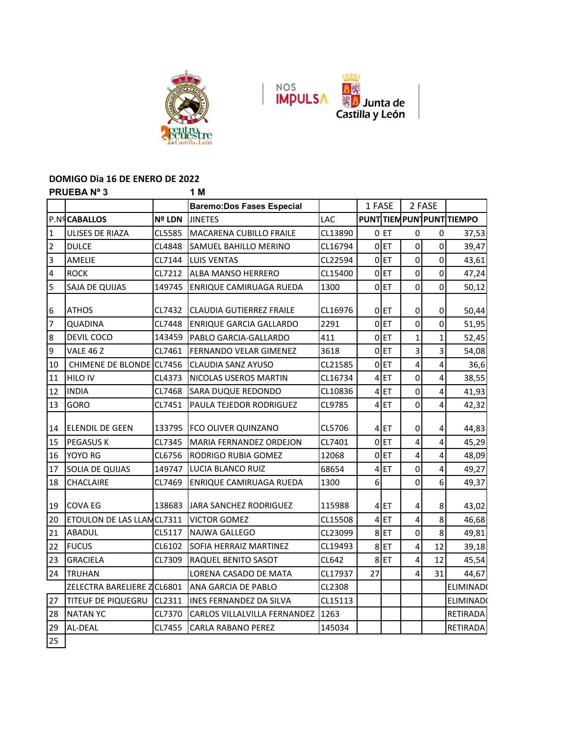



#### **DOMIGO Dia 16 DE ENERO DE 2022 PRUEBA Nº 3 1 M**

| <b>Baremo:Dos Fases Especial</b><br>P.N <sup>q</sup> CABALLOS<br><b>Nº LDN</b><br><b>JINETES</b><br>$\mathbf{1}$<br>ULISES DE RIAZA<br>CL5585<br>MACARENA CUBILLO FRAILE<br>$\overline{2}$<br><b>DULCE</b><br>CL4848<br>SAMUEL BAHILLO MERINO<br>3<br>AMELIE<br>CL7144<br><b>LUIS VENTAS</b><br>4<br><b>ROCK</b><br>CL7212<br><b>ALBA MANSO HERRERO</b><br>5<br>SAJA DE QUIJAS<br>149745<br>ENRIQUE CAMIRUAGA RUEDA<br>$\boldsymbol{6}$<br><b>ATHOS</b><br>CL7432<br><b>CLAUDIA GUTIERREZ FRAILE</b><br>$\overline{7}$<br>CL7448<br>QUADINA<br><b>ENRIQUE GARCIA GALLARDO</b><br>DEVIL COCO<br>143459<br>$\overline{8}$<br>PABLO GARCIA-GALLARDO<br>9<br>VALE 46 Z<br>CL7461<br>FERNANDO VELAR GIMENEZ<br>CHIMENE DE BLONDE CL7456<br>10<br>CLAUDIA SANZ AYUSO<br><b>HILO IV</b><br>CL4373<br>NICOLAS USEROS MARTIN<br>11<br><b>INDIA</b><br>CL7468<br>SARA DUQUE REDONDO<br>12<br><b>GORO</b><br>CL7451<br>PAULA TEJEDOR RODRIGUEZ<br>13<br>133795<br>ELENDIL DE GEEN<br><b>IFCO OLIVER QUINZANO</b><br>14 | LAC<br>CL13890<br>CL16794<br>CL22594<br>CL15400<br>1300 | 1 FASE         | 0 ET<br>$0$ ET<br>0ET | 2 FASE<br>0<br>0<br>$\mathbf 0$<br>$\overline{0}$ | PUNT TIEM PUNT PUNT TIEMPO<br>37,53 |
|-------------------------------------------------------------------------------------------------------------------------------------------------------------------------------------------------------------------------------------------------------------------------------------------------------------------------------------------------------------------------------------------------------------------------------------------------------------------------------------------------------------------------------------------------------------------------------------------------------------------------------------------------------------------------------------------------------------------------------------------------------------------------------------------------------------------------------------------------------------------------------------------------------------------------------------------------------------------------------------------------------------|---------------------------------------------------------|----------------|-----------------------|---------------------------------------------------|-------------------------------------|
|                                                                                                                                                                                                                                                                                                                                                                                                                                                                                                                                                                                                                                                                                                                                                                                                                                                                                                                                                                                                             |                                                         |                |                       |                                                   |                                     |
|                                                                                                                                                                                                                                                                                                                                                                                                                                                                                                                                                                                                                                                                                                                                                                                                                                                                                                                                                                                                             |                                                         |                |                       |                                                   |                                     |
|                                                                                                                                                                                                                                                                                                                                                                                                                                                                                                                                                                                                                                                                                                                                                                                                                                                                                                                                                                                                             |                                                         |                |                       |                                                   |                                     |
|                                                                                                                                                                                                                                                                                                                                                                                                                                                                                                                                                                                                                                                                                                                                                                                                                                                                                                                                                                                                             |                                                         |                |                       |                                                   | 39,47                               |
|                                                                                                                                                                                                                                                                                                                                                                                                                                                                                                                                                                                                                                                                                                                                                                                                                                                                                                                                                                                                             |                                                         |                |                       | 0<br>0                                            | 43,61                               |
|                                                                                                                                                                                                                                                                                                                                                                                                                                                                                                                                                                                                                                                                                                                                                                                                                                                                                                                                                                                                             |                                                         |                | $0$ ET                | $\mathbf 0$<br>0                                  | 47,24                               |
|                                                                                                                                                                                                                                                                                                                                                                                                                                                                                                                                                                                                                                                                                                                                                                                                                                                                                                                                                                                                             |                                                         |                | 0 ET                  | $\mathbf 0$<br>$\overline{0}$                     | 50,12                               |
|                                                                                                                                                                                                                                                                                                                                                                                                                                                                                                                                                                                                                                                                                                                                                                                                                                                                                                                                                                                                             |                                                         |                |                       |                                                   |                                     |
|                                                                                                                                                                                                                                                                                                                                                                                                                                                                                                                                                                                                                                                                                                                                                                                                                                                                                                                                                                                                             | CL16976                                                 |                | 0 ET                  | 0<br>$\overline{0}$                               | 50,44                               |
|                                                                                                                                                                                                                                                                                                                                                                                                                                                                                                                                                                                                                                                                                                                                                                                                                                                                                                                                                                                                             | 2291                                                    |                | 0ET                   | $\mathbf 0$<br>0                                  | 51,95                               |
|                                                                                                                                                                                                                                                                                                                                                                                                                                                                                                                                                                                                                                                                                                                                                                                                                                                                                                                                                                                                             | 411                                                     |                | 0ET                   | $\mathbf{1}$<br>1                                 | 52,45                               |
|                                                                                                                                                                                                                                                                                                                                                                                                                                                                                                                                                                                                                                                                                                                                                                                                                                                                                                                                                                                                             | 3618                                                    |                | 0ET                   | 3<br>3                                            | 54,08                               |
|                                                                                                                                                                                                                                                                                                                                                                                                                                                                                                                                                                                                                                                                                                                                                                                                                                                                                                                                                                                                             | CL21585                                                 |                | $0$ ET                | 4<br>4                                            | 36,6                                |
|                                                                                                                                                                                                                                                                                                                                                                                                                                                                                                                                                                                                                                                                                                                                                                                                                                                                                                                                                                                                             | CL16734                                                 |                | 4ET                   | $\mathbf 0$<br>4                                  | 38,55                               |
|                                                                                                                                                                                                                                                                                                                                                                                                                                                                                                                                                                                                                                                                                                                                                                                                                                                                                                                                                                                                             | CL10836                                                 |                | 4ET                   | $\mathbf 0$<br>4                                  | 41,93                               |
|                                                                                                                                                                                                                                                                                                                                                                                                                                                                                                                                                                                                                                                                                                                                                                                                                                                                                                                                                                                                             | CL9785                                                  |                | 4ET                   | $\mathbf 0$<br>4                                  | 42,32                               |
|                                                                                                                                                                                                                                                                                                                                                                                                                                                                                                                                                                                                                                                                                                                                                                                                                                                                                                                                                                                                             | CL5706                                                  |                | $4$ ET                | $\mathbf 0$<br>4                                  | 44,83                               |
| <b>PEGASUS K</b><br>CL7345<br>MARIA FERNANDEZ ORDEJON<br>15                                                                                                                                                                                                                                                                                                                                                                                                                                                                                                                                                                                                                                                                                                                                                                                                                                                                                                                                                 | CL7401                                                  |                | 0ET                   | 4<br>4                                            | 45,29                               |
| YOYO RG<br>16<br>CL6756<br>RODRIGO RUBIA GOMEZ                                                                                                                                                                                                                                                                                                                                                                                                                                                                                                                                                                                                                                                                                                                                                                                                                                                                                                                                                              | 12068                                                   |                | 0ET                   | 4<br>4                                            | 48,09                               |
| SOLIA DE QUIJAS<br>149747<br>LUCIA BLANCO RUIZ<br>17                                                                                                                                                                                                                                                                                                                                                                                                                                                                                                                                                                                                                                                                                                                                                                                                                                                                                                                                                        | 68654                                                   |                | 4ET                   | 0<br>4                                            | 49,27                               |
| 18<br>CHACLAIRE<br>CL7469<br>ENRIQUE CAMIRUAGA RUEDA                                                                                                                                                                                                                                                                                                                                                                                                                                                                                                                                                                                                                                                                                                                                                                                                                                                                                                                                                        | 1300                                                    | 6 <sup>1</sup> |                       | 0<br>6                                            | 49,37                               |
| <b>COVA EG</b><br>138683<br><b>JARA SANCHEZ RODRIGUEZ</b><br>19                                                                                                                                                                                                                                                                                                                                                                                                                                                                                                                                                                                                                                                                                                                                                                                                                                                                                                                                             | 115988                                                  |                | 4 <sub>ET</sub>       | 4<br>8                                            | 43,02                               |
| ETOULON DE LAS LLANCL7311<br>20<br><b>VICTOR GOMEZ</b>                                                                                                                                                                                                                                                                                                                                                                                                                                                                                                                                                                                                                                                                                                                                                                                                                                                                                                                                                      | CL15508                                                 |                | $4$ ET                | 4<br>8                                            | 46,68                               |
| CL5117<br>ABADUL<br><b>NAJWA GALLEGO</b><br>21                                                                                                                                                                                                                                                                                                                                                                                                                                                                                                                                                                                                                                                                                                                                                                                                                                                                                                                                                              | CL23099                                                 |                | 8ET                   | $\mathbf 0$<br>8                                  | 49,81                               |
| <b>FUCUS</b><br>CL6102<br>22<br><b>SOFIA HERRAIZ MARTINEZ</b>                                                                                                                                                                                                                                                                                                                                                                                                                                                                                                                                                                                                                                                                                                                                                                                                                                                                                                                                               | CL19493                                                 |                | 8ET                   | 4<br>12                                           | 39,18                               |
| <b>GRACIELA</b><br>23<br>CL7309<br>RAQUEL BENITO SASOT                                                                                                                                                                                                                                                                                                                                                                                                                                                                                                                                                                                                                                                                                                                                                                                                                                                                                                                                                      | CL642                                                   |                | 8ET                   | 4<br>12                                           | 45,54                               |
| 24<br><b>TRUHAN</b><br>LORENA CASADO DE MATA                                                                                                                                                                                                                                                                                                                                                                                                                                                                                                                                                                                                                                                                                                                                                                                                                                                                                                                                                                | CL17937                                                 | 27             |                       | 4<br>31                                           | 44,67                               |
| ZELECTRA BARELIERE Z CL6801<br><b>ANA GARCIA DE PABLO</b>                                                                                                                                                                                                                                                                                                                                                                                                                                                                                                                                                                                                                                                                                                                                                                                                                                                                                                                                                   | CL2308                                                  |                |                       |                                                   | ELIMINAD(                           |
| 27<br>CL2311<br>TITEUF DE PIQUEGRU<br><b>INES FERNANDEZ DA SILVA</b>                                                                                                                                                                                                                                                                                                                                                                                                                                                                                                                                                                                                                                                                                                                                                                                                                                                                                                                                        | CL15113                                                 |                |                       |                                                   | ELIMINAD(                           |
| CL7370<br>28<br><b>NATAN YC</b><br>CARLOS VILLALVILLA FERNANDEZ                                                                                                                                                                                                                                                                                                                                                                                                                                                                                                                                                                                                                                                                                                                                                                                                                                                                                                                                             | 1263                                                    |                |                       |                                                   | RETIRADA                            |
| AL-DEAL<br>CL7455<br>29<br>CARLA RABANO PEREZ                                                                                                                                                                                                                                                                                                                                                                                                                                                                                                                                                                                                                                                                                                                                                                                                                                                                                                                                                               | 145034                                                  |                |                       |                                                   | <b>RETIRADA</b>                     |
| 25                                                                                                                                                                                                                                                                                                                                                                                                                                                                                                                                                                                                                                                                                                                                                                                                                                                                                                                                                                                                          |                                                         |                |                       |                                                   |                                     |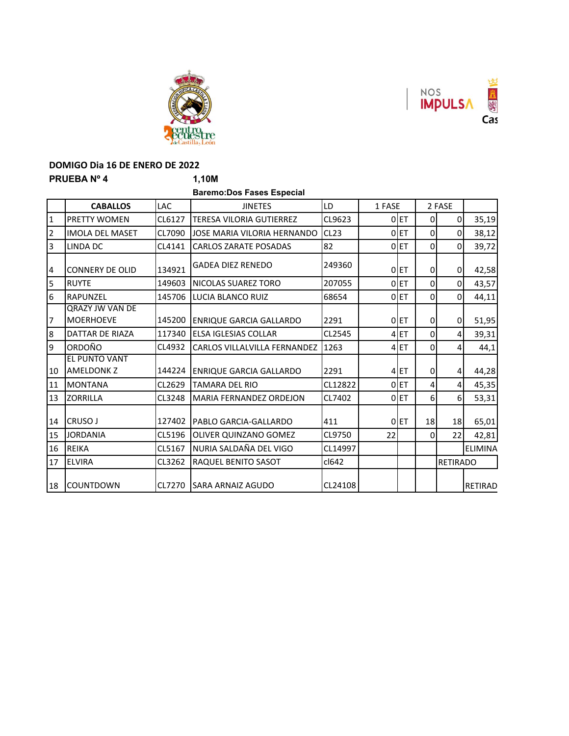

### **DOMIGO Dia 16 DE ENERO DE 2022 PRUEBA Nº 4 1,10M**

**Baremo:Dos Fases Especial**

55

A S  $\overline{Cas}$ 

NOS<br>**IMPULSA** 

|                | <b>CABALLOS</b>                            | <b>LAC</b> | <b>JINETES</b>                  | LD      | 1 FASE |                  |                 | 2 FASE          |                |
|----------------|--------------------------------------------|------------|---------------------------------|---------|--------|------------------|-----------------|-----------------|----------------|
| 1              | <b>PRETTY WOMEN</b>                        | CL6127     | <b>TERESA VILORIA GUTIERREZ</b> | CL9623  |        | 0ET              | 0               | 0               | 35,19          |
| $\overline{2}$ | <b>IMOLA DEL MASET</b>                     | CL7090     | JOSE MARIA VILORIA HERNANDO     | CL23    |        | 0 ET             | 0               | 0               | 38,12          |
| 3              | LINDA DC                                   | CL4141     | <b>CARLOS ZARATE POSADAS</b>    | 82      |        | 0 ET             | 0               | 0               | 39,72          |
| $\overline{a}$ | <b>CONNERY DE OLID</b>                     | 134921     | <b>GADEA DIEZ RENEDO</b>        | 249360  |        | $0$ ET           | 0               | 0               | 42,58          |
| 5              | <b>RUYTE</b>                               | 149603     | NICOLAS SUAREZ TORO             | 207055  |        | 0 ET             | $\Omega$        | $\Omega$        | 43,57          |
| 6              | <b>RAPUNZEL</b>                            | 145706     | <b>LUCIA BLANCO RUIZ</b>        | 68654   |        | 0 ET             | $\Omega$        | 0               | 44,11          |
| $\overline{7}$ | <b>QRAZY JW VAN DE</b><br><b>MOERHOEVE</b> | 145200     | <b>ENRIQUE GARCIA GALLARDO</b>  | 2291    |        | 0ET              | 0               | 0               | 51,95          |
| l8             | DATTAR DE RIAZA                            | 117340     | <b>ELSA IGLESIAS COLLAR</b>     | CL2545  |        | 4 <sub>ET</sub>  | 0               | 4               | 39,31          |
| 9              | ORDOÑO                                     | CL4932     | CARLOS VILLALVILLA FERNANDEZ    | 1263    |        | 4 ET             | 0               | 4               | 44,1           |
| 10             | EL PUNTO VANT<br><b>AMELDONK Z</b>         | 144224     | <b>ENRIQUE GARCIA GALLARDO</b>  | 2291    |        | 4 <sub>IET</sub> | $\Omega$        | 4               | 44,28          |
| 11             | <b>MONTANA</b>                             | CL2629     | <b>TAMARA DEL RIO</b>           | CL12822 |        | 0 ET             | 4               | 4               | 45,35          |
| 13             | <b>ZORRILLA</b>                            | CL3248     | <b>MARIA FERNANDEZ ORDEJON</b>  | CL7402  |        | 0 ET             | 6 <sup>1</sup>  | $6 \mid$        | 53,31          |
| 14             | CRUSO J                                    | 127402     | PABLO GARCIA-GALLARDO           | 411     |        | 0 ET             | 18 <sup>1</sup> | 18              | 65,01          |
| 15             | <b>JORDANIA</b>                            | CL5196     | OLIVER QUINZANO GOMEZ           | CL9750  | 22     |                  | 0               | 22              | 42,81          |
| 16             | REIKA                                      | CL5167     | NURIA SALDAÑA DEL VIGO          | CL14997 |        |                  |                 |                 | <b>ELIMINA</b> |
| 17             | <b>ELVIRA</b>                              | CL3262     | RAQUEL BENITO SASOT             | cl642   |        |                  |                 | <b>RETIRADO</b> |                |
| 18             | <b>ICOUNTDOWN</b>                          | CL7270     | <b>ISARA ARNAIZ AGUDO</b>       | CL24108 |        |                  |                 |                 | <b>RETIRAD</b> |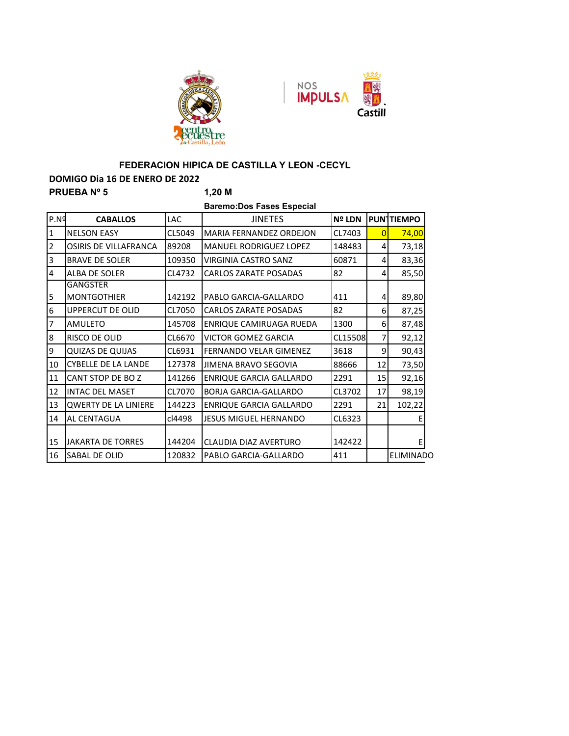



# **FEDERACION HIPICA DE CASTILLA Y LEON -CECYL**

#### **DOMIGO Dia 16 DE ENERO DE 2022**

| <b>PRUEBANº 5</b> |                                       |            | 1,20 M                           |               |              |                  |
|-------------------|---------------------------------------|------------|----------------------------------|---------------|--------------|------------------|
|                   |                                       |            | <b>Baremo:Dos Fases Especial</b> |               |              |                  |
| P.N <sup>9</sup>  | <b>CABALLOS</b>                       | <b>LAC</b> | <b>JINETES</b>                   | <b>Nº LDN</b> |              | <b>PUNTIEMPO</b> |
| $\mathbf{1}$      | <b>NELSON EASY</b>                    | CL5049     | <b>MARIA FERNANDEZ ORDEJON</b>   | CL7403        | $\mathbf{0}$ | 74,00            |
| $\overline{2}$    | <b>OSIRIS DE VILLAFRANCA</b>          | 89208      | <b>MANUEL RODRIGUEZ LOPEZ</b>    | 148483        | 4            | 73,18            |
| 3                 | <b>BRAVE DE SOLER</b>                 | 109350     | VIRGINIA CASTRO SANZ             | 60871         | 4            | 83,36            |
| $\overline{4}$    | ALBA DE SOLER                         | CL4732     | <b>CARLOS ZARATE POSADAS</b>     | 82            | 4            | 85,50            |
| 5                 | <b>GANGSTER</b><br><b>MONTGOTHIER</b> | 142192     | PABLO GARCIA-GALLARDO            | 411           | 4            | 89,80            |
| 6                 | <b>UPPERCUT DE OLID</b>               | CL7050     | <b>CARLOS ZARATE POSADAS</b>     | 82            | 6            | 87,25            |
| 7                 | <b>AMULETO</b>                        | 145708     | ENRIQUE CAMIRUAGA RUEDA          | 1300          | 6            | 87,48            |
| 8                 | RISCO DE OLID                         | CL6670     | <b>VICTOR GOMEZ GARCIA</b>       | CL15508       | 7            | 92,12            |
| 9                 | <b>QUIZAS DE QUIJAS</b>               | CL6931     | <b>FERNANDO VELAR GIMENEZ</b>    | 3618          | 9            | 90,43            |
| 10                | <b>CYBELLE DE LA LANDE</b>            | 127378     | JIMENA BRAVO SEGOVIA             | 88666         | 12           | 73,50            |
| 11                | CANT STOP DE BOZ                      | 141266     | <b>ENRIQUE GARCIA GALLARDO</b>   | 2291          | 15           | 92,16            |
| 12                | <b>INTAC DEL MASET</b>                | CL7070     | <b>BORJA GARCIA-GALLARDO</b>     | CL3702        | 17           | 98,19            |
| 13                | <b>QWERTY DE LA LINIERE</b>           | 144223     | <b>ENRIQUE GARCIA GALLARDO</b>   | 2291          | 21           | 102,22           |
| 14                | AL CENTAGUA                           | cl4498     | JESUS MIGUEL HERNANDO            | CL6323        |              |                  |
| 15                | <b>JAKARTA DE TORRES</b>              | 144204     | CLAUDIA DIAZ AVERTURO            | 142422        |              | Е                |
| 16                | <b>SABAL DE OLID</b>                  | 120832     | PABLO GARCIA-GALLARDO            | 411           |              | <b>ELIMINADO</b> |